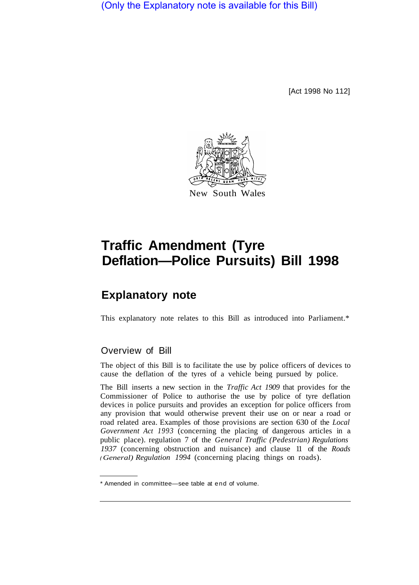(Only the Explanatory note is available for this Bill)

[Act 1998 No 112]



## **Traffic Amendment (Tyre Deflation—Police Pursuits) Bill 1998**

## **Explanatory note**

This explanatory note relates to this Bill as introduced into Parliament.\*

## Overview of Bill

The object of this Bill is to facilitate the use by police officers of devices to cause the deflation of the tyres of a vehicle being pursued by police.

The Bill inserts a new section in the *Traffic Act 1909* that provides for the Commissioner of Police to authorise the use by police of tyre deflation devices in police pursuits and provides an exception for police officers from any provision that would otherwise prevent their use on or near a road or road related area. Examples of those provisions are section 630 of the *Local Government Act 1993* (concerning the placing of dangerous articles in a public place). regulation 7 of the *General Traffic (Pedestrian) Regulations 1937* (concerning obstruction and nuisance) and clause 11 of the *Roads General) Regulation 1994* (concerning placing things on roads).

<sup>\*</sup> Amended in committee—see table at end of volume.